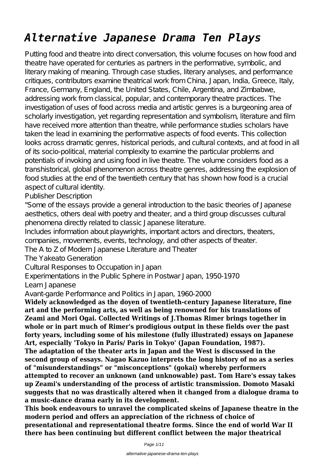# *Alternative Japanese Drama Ten Plays*

Putting food and theatre into direct conversation, this volume focuses on how food and theatre have operated for centuries as partners in the performative, symbolic, and literary making of meaning. Through case studies, literary analyses, and performance critiques, contributors examine theatrical work from China, Japan, India, Greece, Italy, France, Germany, England, the United States, Chile, Argentina, and Zimbabwe, addressing work from classical, popular, and contemporary theatre practices. The investigation of uses of food across media and artistic genres is a burgeoning area of scholarly investigation, yet regarding representation and symbolism, literature and film have received more attention than theatre, while performance studies scholars have taken the lead in examining the performative aspects of food events. This collection looks across dramatic genres, historical periods, and cultural contexts, and at food in all of its socio-political, material complexity to examine the particular problems and potentials of invoking and using food in live theatre. The volume considers food as a transhistorical, global phenomenon across theatre genres, addressing the explosion of food studies at the end of the twentieth century that has shown how food is a crucial aspect of cultural identity.

Publisher Description

"Some of the essays provide a general introduction to the basic theories of Japanese aesthetics, others deal with poetry and theater, and a third group discusses cultural phenomena directly related to classic Japanese literature.

Includes information about playwrights, important actors and directors, theaters, companies, movements, events, technology, and other aspects of theater.

The A to Z of Modern Japanese Literature and Theater

The Yakeato Generation

Cultural Responses to Occupation in Japan

Experimentations in the Public Sphere in Postwar Japan, 1950-1970

Learn Japanese

Avant-garde Performance and Politics in Japan, 1960-2000

**Widely acknowledged as the doyen of twentieth-century Japanese literature, fine art and the performing arts, as well as being renowned for his translations of Zeami and Mori Ogai. Collected Writings of J.Thomas Rimer brings together in whole or in part much of Rimer's prodigious output in these fields over the past forty years, including some of his milestone (fully illustrated) essays on Japanese Art, especially 'Tokyo in Paris/ Paris in Tokyo' (Japan Foundation, 1987). The adaptation of the theater arts in Japan and the West is discussed in the second group of essays. Nagao Kazuo interprets the long history of no as a series of "misunderstandings" or "misconceptions" (gokai) whereby performers attempted to recover an unknown (and unknowable) past. Tom Hare's essay takes up Zeami's understanding of the process of artistic transmission. Domoto Masaki suggests that no was drastically altered when it changed from a dialogue drama to a music-dance drama early in its development.**

**This book endeavours to unravel the complicated skeins of Japanese theatre in the modern period and offers an appreciation of the richness of choice of presentational and representational theatre forms. Since the end of world War II there has been continuing but different conflict between the major theatrical**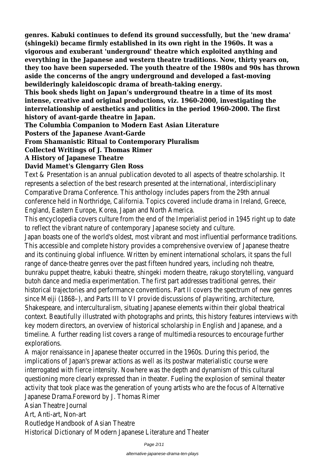**genres. Kabuki continues to defend its ground successfully, but the 'new drama' (shingeki) became firmly established in its own right in the 1960s. It was a vigorous and exuberant 'underground' theatre which exploited anything and everything in the Japanese and western theatre traditions. Now, thirty years on, they too have been superseded. The youth theatre of the 1980s and 90s has thrown aside the concerns of the angry underground and developed a fast-moving bewilderingly kaleidoscopic drama of breath-taking energy.**

**This book sheds light on Japan's underground theatre in a time of its most intense, creative and original productions, viz. 1960-2000, investigating the interrelationship of aesthetics and politics in the period 1960-2000. The first history of avant-garde theatre in Japan.**

**The Columbia Companion to Modern East Asian Literature**

# **Posters of the Japanese Avant-Garde**

# **From Shamanistic Ritual to Contemporary Pluralism**

# **Collected Writings of J. Thomas Rimer**

#### **A History of Japanese Theatre**

# **David Mamet's Glengarry Glen Ross**

Text & Presentation is an annual publication devoted to all aspects of theatre scholarship. It represents a selection of the best research presented at the international, interdisciplinary Comparative Drama Conference. This anthology includes papers from the 29th annual conference held in Northridge, California. Topics covered include drama in Ireland, Greece, England, Eastern Europe, Korea, Japan and North America.

This encyclopedia covers culture from the end of the Imperialist period in 1945 right up to date to reflect the vibrant nature of contemporary Japanese society and culture.

Japan boasts one of the world's oldest, most vibrant and most influential performance traditions. This accessible and complete history provides a comprehensive overview of Japanese theatre and its continuing global influence. Written by eminent international scholars, it spans the full range of dance-theatre genres over the past fifteen hundred years, including noh theatre, bunraku puppet theatre, kabuki theatre, shingeki modern theatre, rakugo storytelling, vanguard butoh dance and media experimentation. The first part addresses traditional genres, their historical trajectories and performance conventions. Part II covers the spectrum of new genres since Meiji (1868–), and Parts III to VI provide discussions of playwriting, architecture, Shakespeare, and interculturalism, situating Japanese elements within their global theatrical context. Beautifully illustrated with photographs and prints, this history features interviews with key modern directors, an overview of historical scholarship in English and Japanese, and a timeline. A further reading list covers a range of multimedia resources to encourage further explorations.

A major renaissance in Japanese theater occurred in the 1960s. During this period, the implications of Japan's prewar actions as well as its postwar materialistic course were interrogated with fierce intensity. Nowhere was the depth and dynamism of this cultural questioning more clearly expressed than in theater. Fueling the explosion of seminal theater activity that took place was the generation of young artists who are the focus of Alternative Japanese Drama.Foreword by J. Thomas Rimer

Asian Theatre Journal

Art, Anti-art, Non-art

Routledge Handbook of Asian Theatre

Historical Dictionary of Modern Japanese Literature and Theater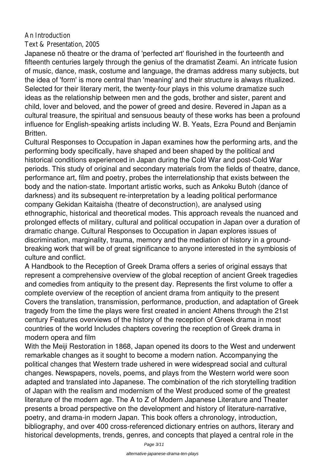#### An Introduction

Text & Presentation, 2005

Japanese nõ theatre or the drama of 'perfected art' flourished in the fourteenth and fifteenth centuries largely through the genius of the dramatist Zeami. An intricate fusion of music, dance, mask, costume and language, the dramas address many subjects, but the idea of 'form' is more central than 'meaning' and their structure is always ritualized. Selected for their literary merit, the twenty-four plays in this volume dramatize such ideas as the relationship between men and the gods, brother and sister, parent and child, lover and beloved, and the power of greed and desire. Revered in Japan as a cultural treasure, the spiritual and sensuous beauty of these works has been a profound influence for English-speaking artists including W. B. Yeats, Ezra Pound and Benjamin Britten.

Cultural Responses to Occupation in Japan examines how the performing arts, and the performing body specifically, have shaped and been shaped by the political and historical conditions experienced in Japan during the Cold War and post-Cold War periods. This study of original and secondary materials from the fields of theatre, dance, performance art, film and poetry, probes the interrelationship that exists between the body and the nation-state. Important artistic works, such as Ankoku Butoh (dance of darkness) and its subsequent re-interpretation by a leading political performance company Gekidan Kaitaisha (theatre of deconstruction), are analysed using ethnographic, historical and theoretical modes. This approach reveals the nuanced and prolonged effects of military, cultural and political occupation in Japan over a duration of dramatic change. Cultural Responses to Occupation in Japan explores issues of discrimination, marginality, trauma, memory and the mediation of history in a groundbreaking work that will be of great significance to anyone interested in the symbiosis of culture and conflict.

A Handbook to the Reception of Greek Drama offers a series of original essays that represent a comprehensive overview of the global reception of ancient Greek tragedies and comedies from antiquity to the present day. Represents the first volume to offer a complete overview of the reception of ancient drama from antiquity to the present Covers the translation, transmission, performance, production, and adaptation of Greek tragedy from the time the plays were first created in ancient Athens through the 21st century Features overviews of the history of the reception of Greek drama in most countries of the world Includes chapters covering the reception of Greek drama in modern opera and film

With the Meiji Restoration in 1868, Japan opened its doors to the West and underwent remarkable changes as it sought to become a modern nation. Accompanying the political changes that Western trade ushered in were widespread social and cultural changes. Newspapers, novels, poems, and plays from the Western world were soon adapted and translated into Japanese. The combination of the rich storytelling tradition of Japan with the realism and modernism of the West produced some of the greatest literature of the modern age. The A to Z of Modern Japanese Literature and Theater presents a broad perspective on the development and history of literature-narrative, poetry, and drama-in modern Japan. This book offers a chronology, introduction, bibliography, and over 400 cross-referenced dictionary entries on authors, literary and historical developments, trends, genres, and concepts that played a central role in the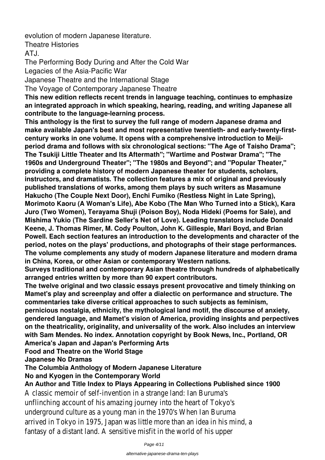evolution of modern Japanese literature.

Theatre Histories

 $ATJ$ 

The Performing Body During and After the Cold War

Legacies of the Asia-Pacific War

Japanese Theatre and the International Stage

The Voyage of Contemporary Japanese Theatre

**This new edition reflects recent trends in language teaching, continues to emphasize an integrated approach in which speaking, hearing, reading, and writing Japanese all contribute to the language-learning process.**

**This anthology is the first to survey the full range of modern Japanese drama and make available Japan's best and most representative twentieth- and early-twenty-firstcentury works in one volume. It opens with a comprehensive introduction to Meijiperiod drama and follows with six chronological sections: "The Age of Taisho Drama"; The Tsukiji Little Theater and Its Aftermath"; "Wartime and Postwar Drama"; "The 1960s and Underground Theater"; "The 1980s and Beyond"; and "Popular Theater," providing a complete history of modern Japanese theater for students, scholars, instructors, and dramatists. The collection features a mix of original and previously published translations of works, among them plays by such writers as Masamune Hakucho (The Couple Next Door), Enchi Fumiko (Restless Night in Late Spring), Morimoto Kaoru (A Woman's Life), Abe Kobo (The Man Who Turned into a Stick), Kara Juro (Two Women), Terayama Shuji (Poison Boy), Noda Hideki (Poems for Sale), and Mishima Yukio (The Sardine Seller's Net of Love). Leading translators include Donald Keene, J. Thomas Rimer, M. Cody Poulton, John K. Gillespie, Mari Boyd, and Brian Powell. Each section features an introduction to the developments and character of the period, notes on the plays' productions, and photographs of their stage performances. The volume complements any study of modern Japanese literature and modern drama in China, Korea, or other Asian or contemporary Western nations.**

**Surveys traditional and contemporary Asian theatre through hundreds of alphabetically arranged entries written by more than 90 expert contributors.**

**The twelve original and two classic essays present provocative and timely thinking on Mamet's play and screenplay and offer a dialectic on performance and structure. The commentaries take diverse critical approaches to such subjects as feminism,**

**pernicious nostalgia, ethnicity, the mythological land motif, the discourse of anxiety, gendered language, and Mamet's vision of America, providing insights and perpectives on the theatricality, originality, and universality of the work. Also includes an interview with Sam Mendes. No index. Annotation copyright by Book News, Inc., Portland, OR America's Japan and Japan's Performing Arts**

**Food and Theatre on the World Stage**

**Japanese No Dramas**

# **The Columbia Anthology of Modern Japanese Literature**

# **No and Kyogen in the Contemporary World**

**An Author and Title Index to Plays Appearing in Collections Published since 1900** A classic memoir of self-invention in a strange land: Ian Buruma's unflinching account of his amazing journey into the heart of Tokyo's underground culture as a young man in the 1970's When Ian Buruma arrived in Tokyo in 1975, Japan was little more than an idea in his mind, a fantasy of a distant land. A sensitive misfit in the world of his upper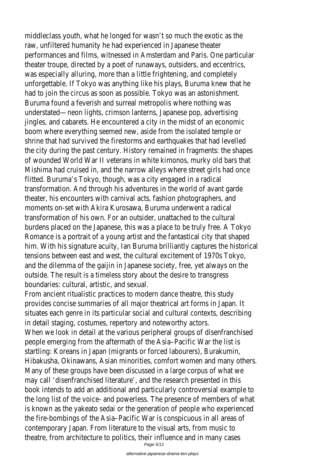middleclass youth, what he longed for wasn't so much the exotic as the raw, unfiltered humanity he had experienced in Japanese theater performances and films, witnessed in Amsterdam and Paris. One particular theater troupe, directed by a poet of runaways, outsiders, and eccentrics, was especially alluring, more than a little frightening, and completely unforgettable. If Tokyo was anything like his plays, Buruma knew that he had to join the circus as soon as possible. Tokyo was an astonishment. Buruma found a feverish and surreal metropolis where nothing was understated—neon lights, crimson lanterns, Japanese pop, advertising jingles, and cabarets. He encountered a city in the midst of an economic boom where everything seemed new, aside from the isolated temple or shrine that had survived the firestorms and earthquakes that had levelled the city during the past century. History remained in fragments: the shapes of wounded World War II veterans in white kimonos, murky old bars that Mishima had cruised in, and the narrow alleys where street girls had once flitted. Buruma's Tokyo, though, was a city engaged in a radical transformation. And through his adventures in the world of avant garde theater, his encounters with carnival acts, fashion photographers, and moments on-set with Akira Kurosawa, Buruma underwent a radical transformation of his own. For an outsider, unattached to the cultural burdens placed on the Japanese, this was a place to be truly free. A Tokyo Romance is a portrait of a young artist and the fantastical city that shaped him. With his signature acuity, Ian Buruma brilliantly captures the historical tensions between east and west, the cultural excitement of 1970s Tokyo, and the dilemma of the gaijin in Japanese society, free, yet always on the outside. The result is a timeless story about the desire to transgress boundaries: cultural, artistic, and sexual.

From ancient ritualistic practices to modern dance theatre, this study provides concise summaries of all major theatrical art forms in Japan. It situates each genre in its particular social and cultural contexts, describing in detail staging, costumes, repertory and noteworthy actors. When we look in detail at the various peripheral groups of disenfranchised people emerging from the aftermath of the Asia–Pacific War the list is startling: Koreans in Japan (migrants or forced labourers), Burakumin, Hibakusha, Okinawans, Asian minorities, comfort women and many others. Many of these groups have been discussed in a large corpus of what we may call 'disenfranchised literature', and the research presented in this book intends to add an additional and particularly controversial example to the long list of the voice- and powerless. The presence of members of what is known as the yakeato sedai or the generation of people who experienced the fire-bombings of the Asia–Pacific War is conspicuous in all areas of contemporary Japan. From literature to the visual arts, from music to theatre, from architecture to politics, their influence and in many cases Page 5/11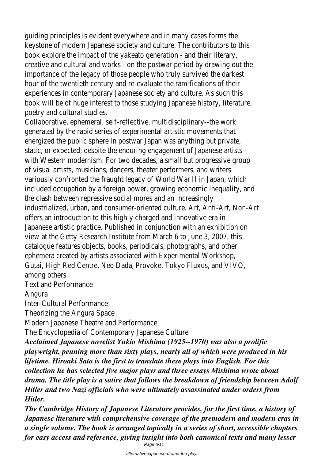guiding principles is evident everywhere and in many cases forms the keystone of modern Japanese society and culture. The contributors to this book explore the impact of the yakeato generation - and their literary, creative and cultural and works - on the postwar period by drawing out the importance of the legacy of those people who truly survived the darkest hour of the twentieth century and re-evaluate the ramifications of their experiences in contemporary Japanese society and culture. As such this book will be of huge interest to those studying Japanese history, literature, poetry and cultural studies.

Collaborative, ephemeral, self-reflective, multidisciplinary--the work generated by the rapid series of experimental artistic movements that energized the public sphere in postwar Japan was anything but private, static, or expected, despite the enduring engagement of Japanese artists with Western modernism. For two decades, a small but progressive group of visual artists, musicians, dancers, theater performers, and writers variously confronted the fraught legacy of World War II in Japan, which included occupation by a foreign power, growing economic inequality, and the clash between repressive social mores and an increasingly industrialized, urban, and consumer-oriented culture. Art, Anti-Art, Non-Art offers an introduction to this highly charged and innovative era in Japanese artistic practice. Published in conjunction with an exhibition on view at the Getty Research Institute from March 6 to June 3, 2007, this catalogue features objects, books, periodicals, photographs, and other ephemera created by artists associated with Experimental Workshop, Gutai, High Red Centre, Neo Dada, Provoke, Tokyo Fluxus, and VIVO, among others.

Text and Performance

Angura

Inter-Cultural Performance

Theorizing the Angura Space

Modern Japanese Theatre and Performance

The Encyclopedia of Contemporary Japanese Culture

*Acclaimed Japanese novelist Yukio Mishima (1925--1970) was also a prolific playwright, penning more than sixty plays, nearly all of which were produced in his lifetime. Hiroaki Sato is the first to translate these plays into English. For this collection he has selected five major plays and three essays Mishima wrote about drama. The title play is a satire that follows the breakdown of friendship between Adolf Hitler and two Nazi officials who were ultimately assassinated under orders from Hitler.*

*The Cambridge History of Japanese Literature provides, for the first time, a history of Japanese literature with comprehensive coverage of the premodern and modern eras in a single volume. The book is arranged topically in a series of short, accessible chapters for easy access and reference, giving insight into both canonical texts and many lesser* Page 6/11

alternative-japanese-drama-ten-plays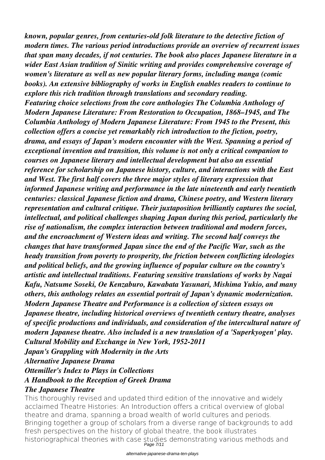*known, popular genres, from centuries-old folk literature to the detective fiction of modern times. The various period introductions provide an overview of recurrent issues that span many decades, if not centuries. The book also places Japanese literature in a wider East Asian tradition of Sinitic writing and provides comprehensive coverage of women's literature as well as new popular literary forms, including manga (comic books). An extensive bibliography of works in English enables readers to continue to explore this rich tradition through translations and secondary reading. Featuring choice selections from the core anthologies The Columbia Anthology of Modern Japanese Literature: From Restoration to Occupation, 1868–1945, and The Columbia Anthology of Modern Japanese Literature: From 1945 to the Present, this collection offers a concise yet remarkably rich introduction to the fiction, poetry, drama, and essays of Japan's modern encounter with the West. Spanning a period of exceptional invention and transition, this volume is not only a critical companion to courses on Japanese literary and intellectual development but also an essential reference for scholarship on Japanese history, culture, and interactions with the East and West. The first half covers the three major styles of literary expression that informed Japanese writing and performance in the late nineteenth and early twentieth centuries: classical Japanese fiction and drama, Chinese poetry, and Western literary representation and cultural critique. Their juxtaposition brilliantly captures the social, intellectual, and political challenges shaping Japan during this period, particularly the rise of nationalism, the complex interaction between traditional and modern forces, and the encroachment of Western ideas and writing. The second half conveys the changes that have transformed Japan since the end of the Pacific War, such as the heady transition from poverty to prosperity, the friction between conflicting ideologies and political beliefs, and the growing influence of popular culture on the country's artistic and intellectual traditions. Featuring sensitive translations of works by Nagai Kafu, Natsume Soseki, Oe Kenzaburo, Kawabata Yasunari, Mishima Yukio, and many others, this anthology relates an essential portrait of Japan's dynamic modernization. Modern Japanese Theatre and Performance is a collection of sixteen essays on Japanese theatre, including historical overviews of twentieth century theatre, analyses of specific productions and individuals, and consideration of the intercultural nature of modern Japanese theatre. Also included is a new translation of a 'Superkyogen' play. Cultural Mobility and Exchange in New York, 1952-2011 Japan's Grappling with Modernity in the Arts Alternative Japanese Drama Ottemiller's Index to Plays in Collections A Handbook to the Reception of Greek Drama The Japanese Theatre*

This thoroughly revised and updated third edition of the innovative and widely acclaimed Theatre Histories: An Introduction offers a critical overview of global theatre and drama, spanning a broad wealth of world cultures and periods. Bringing together a group of scholars from a diverse range of backgrounds to add fresh perspectives on the history of global theatre, the book illustrates historiographical theories with case studies demonstrating various methods and Page 7/11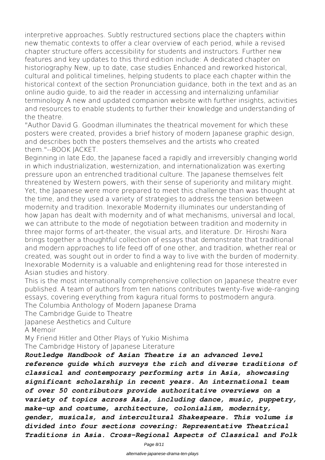interpretive approaches. Subtly restructured sections place the chapters within new thematic contexts to offer a clear overview of each period, while a revised chapter structure offers accessibility for students and instructors. Further new features and key updates to this third edition include: A dedicated chapter on historiography New, up to date, case studies Enhanced and reworked historical, cultural and political timelines, helping students to place each chapter within the historical context of the section Pronunciation guidance, both in the text and as an online audio guide, to aid the reader in accessing and internalizing unfamiliar terminology A new and updated companion website with further insights, activities and resources to enable students to further their knowledge and understanding of the theatre.

"Author David G. Goodman illuminates the theatrical movement for which these posters were created, provides a brief history of modern Japanese graphic design, and describes both the posters themselves and the artists who created them."--BOOK JACKET.

Beginning in late Edo, the Japanese faced a rapidly and irreversibly changing world in which industrialization, westernization, and internationalization was exerting pressure upon an entrenched traditional culture. The Japanese themselves felt threatened by Western powers, with their sense of superiority and military might. Yet, the Japanese were more prepared to meet this challenge than was thought at the time, and they used a variety of strategies to address the tension between modernity and tradition. Inexorable Modernity illuminates our understanding of how Japan has dealt with modernity and of what mechanisms, universal and local, we can attribute to the mode of negotiation between tradition and modernity in three major forms of art-theater, the visual arts, and literature. Dr. Hiroshi Nara brings together a thoughtful collection of essays that demonstrate that traditional and modern approaches to life feed off of one other, and tradition, whether real or created, was sought out in order to find a way to live with the burden of modernity. Inexorable Modernity is a valuable and enlightening read for those interested in Asian studies and history.

This is the most internationally comprehensive collection on Japanese theatre ever published. A team of authors from ten nations contributes twenty-five wide-ranging essays, covering everything from kagura ritual forms to postmodern angura. The Columbia Anthology of Modern Japanese Drama

The Cambridge Guide to Theatre Japanese Aesthetics and Culture A Memoir

My Friend Hitler and Other Plays of Yukio Mishima The Cambridge History of Japanese Literature

*Routledge Handbook of Asian Theatre is an advanced level reference guide which surveys the rich and diverse traditions of classical and contemporary performing arts in Asia, showcasing significant scholarship in recent years. An international team of over 50 contributors provide authoritative overviews on a variety of topics across Asia, including dance, music, puppetry, make-up and costume, architecture, colonialism, modernity, gender, musicals, and intercultural Shakespeare. This volume is divided into four sections covering: Representative Theatrical Traditions in Asia. Cross-Regional Aspects of Classical and Folk*

Page 8/11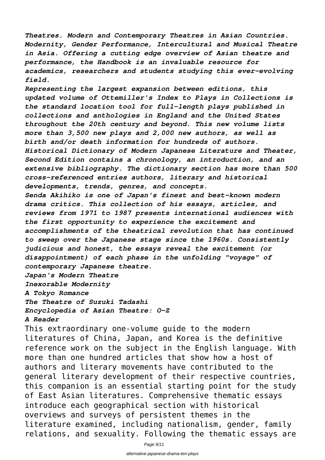*Theatres. Modern and Contemporary Theatres in Asian Countries. Modernity, Gender Performance, Intercultural and Musical Theatre in Asia. Offering a cutting edge overview of Asian theatre and performance, the Handbook is an invaluable resource for academics, researchers and students studying this ever-evolving field.*

*Representing the largest expansion between editions, this updated volume of Ottemiller's Index to Plays in Collections is the standard location tool for full-length plays published in collections and anthologies in England and the United States throughout the 20th century and beyond. This new volume lists more than 3,500 new plays and 2,000 new authors, as well as birth and/or death information for hundreds of authors. Historical Dictionary of Modern Japanese Literature and Theater, Second Edition contains a chronology, an introduction, and an extensive bibliography. The dictionary section has more than 500 cross-referenced entries authors, literary and historical developments, trends, genres, and concepts.*

*Senda Akihiko is one of Japan's finest and best-known modern drama critics. This collection of his essays, articles, and reviews from 1971 to 1987 presents international audiences with the first opportunity to experience the excitement and accomplishments of the theatrical revolution that has continued to sweep over the Japanese stage since the 1960s. Consistently judicious and honest, the essays reveal the excitement (or disappointment) of each phase in the unfolding "voyage" of contemporary Japanese theatre.*

*Japan's Modern Theatre*

*Inexorable Modernity*

*A Tokyo Romance*

*The Theatre of Suzuki Tadashi Encyclopedia of Asian Theatre: O-Z*

#### *A Reader*

This extraordinary one-volume guide to the modern literatures of China, Japan, and Korea is the definitive reference work on the subject in the English language. With more than one hundred articles that show how a host of authors and literary movements have contributed to the general literary development of their respective countries, this companion is an essential starting point for the study of East Asian literatures. Comprehensive thematic essays introduce each geographical section with historical overviews and surveys of persistent themes in the literature examined, including nationalism, gender, family relations, and sexuality. Following the thematic essays are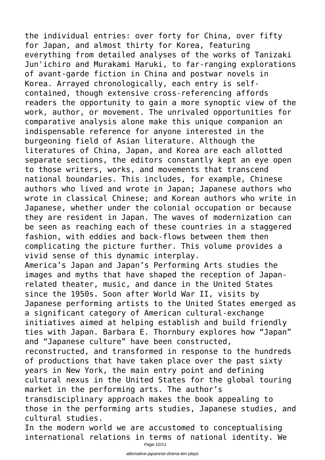the individual entries: over forty for China, over fifty for Japan, and almost thirty for Korea, featuring everything from detailed analyses of the works of Tanizaki Jun'ichiro and Murakami Haruki, to far-ranging explorations of avant-garde fiction in China and postwar novels in Korea. Arrayed chronologically, each entry is selfcontained, though extensive cross-referencing affords readers the opportunity to gain a more synoptic view of the work, author, or movement. The unrivaled opportunities for comparative analysis alone make this unique companion an indispensable reference for anyone interested in the burgeoning field of Asian literature. Although the literatures of China, Japan, and Korea are each allotted separate sections, the editors constantly kept an eye open to those writers, works, and movements that transcend national boundaries. This includes, for example, Chinese authors who lived and wrote in Japan; Japanese authors who wrote in classical Chinese; and Korean authors who write in Japanese, whether under the colonial occupation or because they are resident in Japan. The waves of modernization can be seen as reaching each of these countries in a staggered fashion, with eddies and back-flows between them then complicating the picture further. This volume provides a vivid sense of this dynamic interplay. America's Japan and Japan's Performing Arts studies the images and myths that have shaped the reception of Japanrelated theater, music, and dance in the United States since the 1950s. Soon after World War II, visits by Japanese performing artists to the United States emerged as a significant category of American cultural-exchange initiatives aimed at helping establish and build friendly ties with Japan. Barbara E. Thornbury explores how "Japan" and "Japanese culture" have been constructed, reconstructed, and transformed in response to the hundreds of productions that have taken place over the past sixty years in New York, the main entry point and defining cultural nexus in the United States for the global touring market in the performing arts. The author's transdisciplinary approach makes the book appealing to those in the performing arts studies, Japanese studies, and cultural studies.

In the modern world we are accustomed to conceptualising international relations in terms of national identity. We